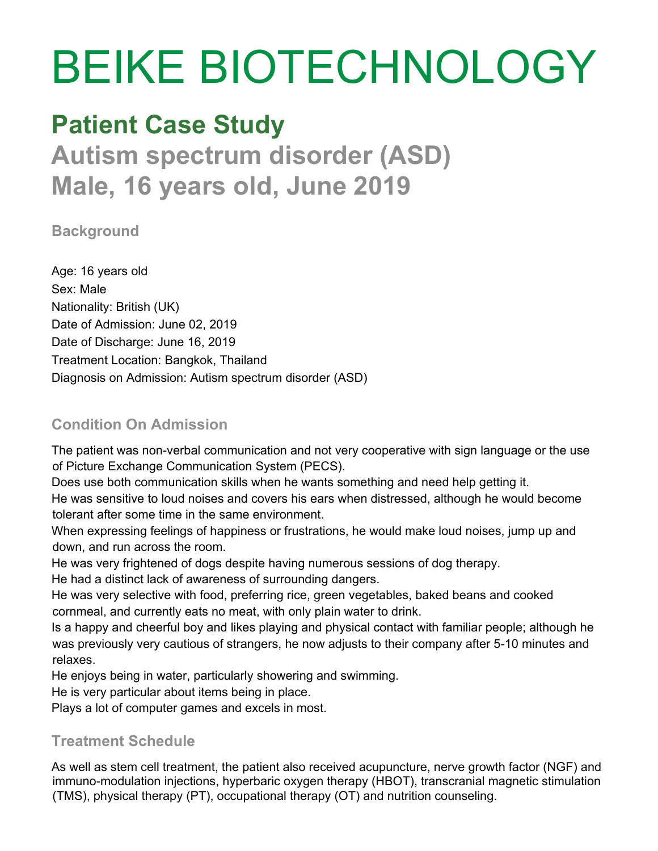# BEIKE BIOTECHNOLOGY

# **Patient Case Study**

**Autism spectrum disorder (ASD) Male, 16 years old, June 2019**

**Background**

Age: 16 years old Sex: Male Nationality: British (UK) Date of Admission: June 02, 2019 Date of Discharge: June 16, 2019 Treatment Location: Bangkok, Thailand Diagnosis on Admission: Autism spectrum disorder (ASD)

### **Condition On Admission**

The patient was non-verbal communication and not very cooperative with sign language or the use of Picture Exchange Communication System (PECS).

Does use both communication skills when he wants something and need help getting it.

He was sensitive to loud noises and covers his ears when distressed, although he would become tolerant after some time in the same environment.

When expressing feelings of happiness or frustrations, he would make loud noises, jump up and down, and run across the room.

He was very frightened of dogs despite having numerous sessions of dog therapy.

He had a distinct lack of awareness of surrounding dangers.

He was very selective with food, preferring rice, green vegetables, baked beans and cooked cornmeal, and currently eats no meat, with only plain water to drink.

Is a happy and cheerful boy and likes playing and physical contact with familiar people; although he was previously very cautious of strangers, he now adjusts to their company after 5-10 minutes and relaxes.

He enjoys being in water, particularly showering and swimming.

He is very particular about items being in place.

Plays a lot of computer games and excels in most.

## **Treatment Schedule**

As well as stem cell treatment, the patient also received acupuncture, nerve growth factor (NGF) and immuno-modulation injections, hyperbaric oxygen therapy (HBOT), transcranial magnetic stimulation (TMS), physical therapy (PT), occupational therapy (OT) and nutrition counseling.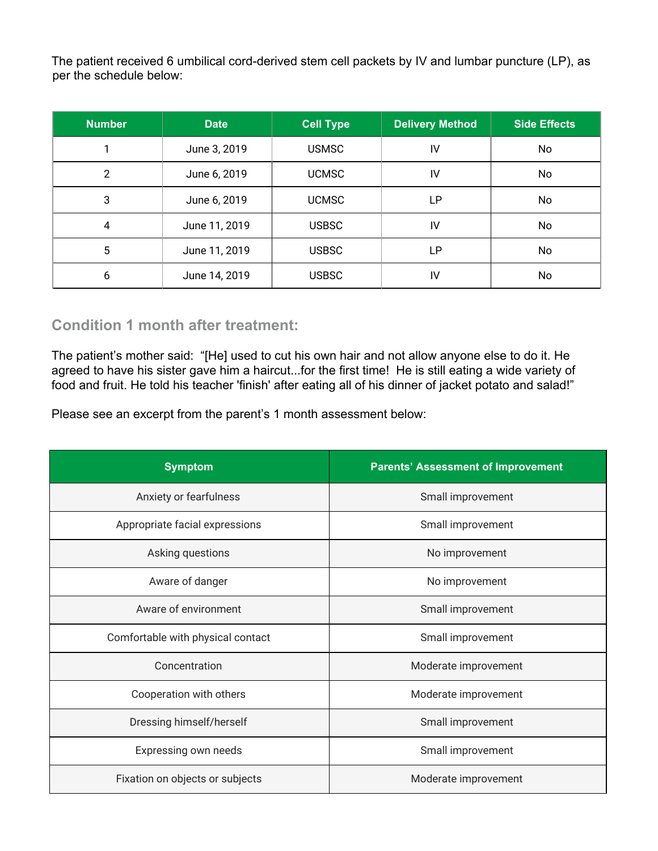The patient received 6 umbilical cord-derived stem cell packets by IV and lumbar puncture (LP), as per the schedule below:

| <b>Number</b> | <b>Date</b>   | <b>Cell Type</b> | <b>Delivery Method</b> | Side Effects |
|---------------|---------------|------------------|------------------------|--------------|
|               | June 3, 2019  | <b>USMSC</b>     | IV                     | No           |
| 2             | June 6, 2019  | <b>UCMSC</b>     | IV                     | No           |
| 3             | June 6, 2019  | <b>UCMSC</b>     | LP                     | No           |
| 4             | June 11, 2019 | <b>USBSC</b>     | IV                     | No           |
| 5             | June 11, 2019 | <b>USBSC</b>     | LP                     | No           |
| 6             | June 14, 2019 | <b>USBSC</b>     | IV                     | No           |

#### **Condition 1 month after treatment:**

The patient's mother said: "[He] used to cut his own hair and not allow anyone else to do it. He agreed to have his sister gave him a haircut...for the first time! He is still eating a wide variety of food and fruit. He told his teacher 'finish' after eating all of his dinner of jacket potato and salad!"

Please see an excerpt from the parent's 1 month assessment below:

| <b>Symptom</b>                    | <b>Parents' Assessment of Improvement</b> |  |
|-----------------------------------|-------------------------------------------|--|
| Anxiety or fearfulness            | Small improvement                         |  |
| Appropriate facial expressions    | Small improvement                         |  |
| Asking questions                  | No improvement                            |  |
| Aware of danger                   | No improvement                            |  |
| Aware of environment              | Small improvement                         |  |
| Comfortable with physical contact | Small improvement                         |  |
| Concentration                     | Moderate improvement                      |  |
| Cooperation with others           | Moderate improvement                      |  |
| Dressing himself/herself          | Small improvement                         |  |
| Expressing own needs              | Small improvement                         |  |
| Fixation on objects or subjects   | Moderate improvement                      |  |